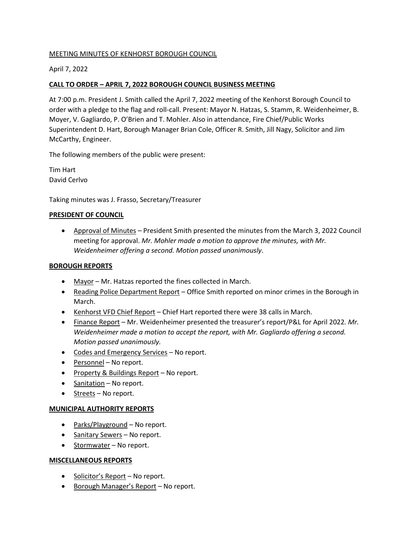# MEETING MINUTES OF KENHORST BOROUGH COUNCIL

# April 7, 2022

# **CALL TO ORDER – APRIL 7, 2022 BOROUGH COUNCIL BUSINESS MEETING**

At 7:00 p.m. President J. Smith called the April 7, 2022 meeting of the Kenhorst Borough Council to order with a pledge to the flag and roll-call. Present: Mayor N. Hatzas, S. Stamm, R. Weidenheimer, B. Moyer, V. Gagliardo, P. O'Brien and T. Mohler. Also in attendance, Fire Chief/Public Works Superintendent D. Hart, Borough Manager Brian Cole, Officer R. Smith, Jill Nagy, Solicitor and Jim McCarthy, Engineer.

The following members of the public were present:

Tim Hart David Cerlvo

Taking minutes was J. Frasso, Secretary/Treasurer

### **PRESIDENT OF COUNCIL**

• Approval of Minutes – President Smith presented the minutes from the March 3, 2022 Council meeting for approval. *Mr. Mohler made a motion to approve the minutes, with Mr. Weidenheimer offering a second. Motion passed unanimously*.

## **BOROUGH REPORTS**

- Mayor Mr. Hatzas reported the fines collected in March.
- Reading Police Department Report Office Smith reported on minor crimes in the Borough in March.
- Kenhorst VFD Chief Report Chief Hart reported there were 38 calls in March.
- Finance Report Mr. Weidenheimer presented the treasurer's report/P&L for April 2022*. Mr. Weidenheimer made a motion to accept the report, with Mr. Gagliardo offering a second. Motion passed unanimously.*
- Codes and Emergency Services No report.
- Personnel No report.
- Property & Buildings Report No report.
- Sanitation No report.
- Streets No report.

## **MUNICIPAL AUTHORITY REPORTS**

- Parks/Playground No report.
- Sanitary Sewers No report.
- Stormwater No report.

#### **MISCELLANEOUS REPORTS**

- Solicitor's Report No report.
- Borough Manager's Report No report.